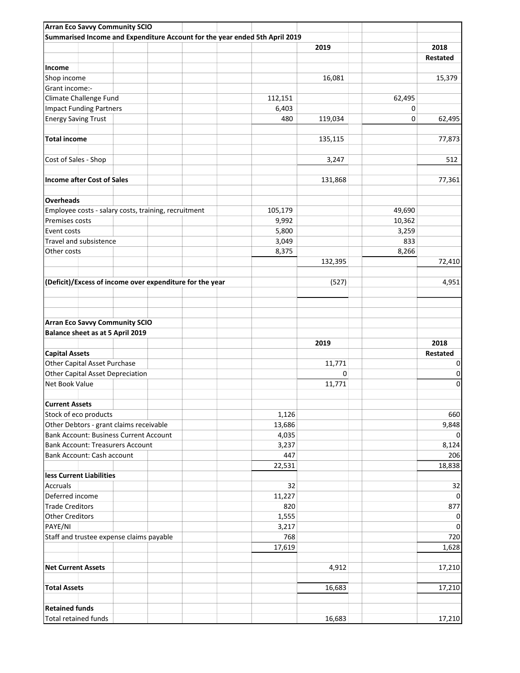| <b>Arran Eco Savvy Community SCIO</b>                                       |         |         |        |             |
|-----------------------------------------------------------------------------|---------|---------|--------|-------------|
| Summarised Income and Expenditure Account for the year ended 5th April 2019 |         |         |        |             |
|                                                                             |         | 2019    |        | 2018        |
|                                                                             |         |         |        | Restated    |
| Income                                                                      |         |         |        |             |
| Shop income                                                                 |         | 16,081  |        | 15,379      |
| Grant income:-                                                              |         |         |        |             |
| Climate Challenge Fund                                                      | 112,151 |         | 62,495 |             |
| <b>Impact Funding Partners</b>                                              | 6,403   |         | 0      |             |
|                                                                             | 480     |         |        |             |
| <b>Energy Saving Trust</b>                                                  |         | 119,034 | 0      | 62,495      |
| <b>Total income</b>                                                         |         | 135,115 |        | 77,873      |
| Cost of Sales - Shop                                                        |         | 3,247   |        | 512         |
| <b>Income after Cost of Sales</b>                                           |         | 131,868 |        | 77,361      |
| <b>Overheads</b>                                                            |         |         |        |             |
| Employee costs - salary costs, training, recruitment                        | 105,179 |         | 49,690 |             |
| Premises costs                                                              | 9,992   |         | 10,362 |             |
| Event costs                                                                 | 5,800   |         | 3,259  |             |
| Travel and subsistence                                                      | 3,049   |         | 833    |             |
| Other costs                                                                 | 8,375   |         | 8,266  |             |
|                                                                             |         | 132,395 |        | 72,410      |
|                                                                             |         |         |        |             |
| (Deficit)/Excess of income over expenditure for the year                    |         | (527)   |        | 4,951       |
|                                                                             |         |         |        |             |
|                                                                             |         |         |        |             |
|                                                                             |         |         |        |             |
|                                                                             |         |         |        |             |
| <b>Arran Eco Savvy Community SCIO</b>                                       |         |         |        |             |
| Balance sheet as at 5 April 2019                                            |         |         |        |             |
|                                                                             |         | 2019    |        | 2018        |
| <b>Capital Assets</b>                                                       |         |         |        | Restated    |
| Other Capital Asset Purchase                                                |         | 11,771  |        | 0           |
| Other Capital Asset Depreciation                                            |         | 0       |        | 0           |
| Net Book Value                                                              |         | 11,771  |        | $\pmb{0}$   |
|                                                                             |         |         |        |             |
| Current Assets                                                              |         |         |        |             |
| Stock of eco products                                                       | 1,126   |         |        | 660         |
| Other Debtors - grant claims receivable                                     | 13,686  |         |        | 9,848       |
| <b>Bank Account: Business Current Account</b>                               | 4,035   |         |        | 0           |
| <b>Bank Account: Treasurers Account</b>                                     | 3,237   |         |        | 8,124       |
|                                                                             | 447     |         |        |             |
| Bank Account: Cash account                                                  |         |         |        | 206         |
|                                                                             | 22,531  |         |        | 18,838      |
| less Current Liabilities                                                    |         |         |        |             |
| <b>Accruals</b>                                                             | 32      |         |        | 32          |
| Deferred income                                                             | 11,227  |         |        | 0           |
| <b>Trade Creditors</b>                                                      | 820     |         |        | 877         |
| <b>Other Creditors</b>                                                      | 1,555   |         |        | 0           |
| PAYE/NI                                                                     | 3,217   |         |        | $\mathbf 0$ |
| Staff and trustee expense claims payable                                    | 768     |         |        | 720         |
|                                                                             | 17,619  |         |        | 1,628       |
|                                                                             |         |         |        |             |
| <b>Net Current Assets</b>                                                   |         | 4,912   |        | 17,210      |
|                                                                             |         |         |        |             |
| <b>Total Assets</b>                                                         |         | 16,683  |        | 17,210      |
|                                                                             |         |         |        |             |
| <b>Retained funds</b>                                                       |         |         |        |             |
| <b>Total retained funds</b>                                                 |         | 16,683  |        | 17,210      |
|                                                                             |         |         |        |             |